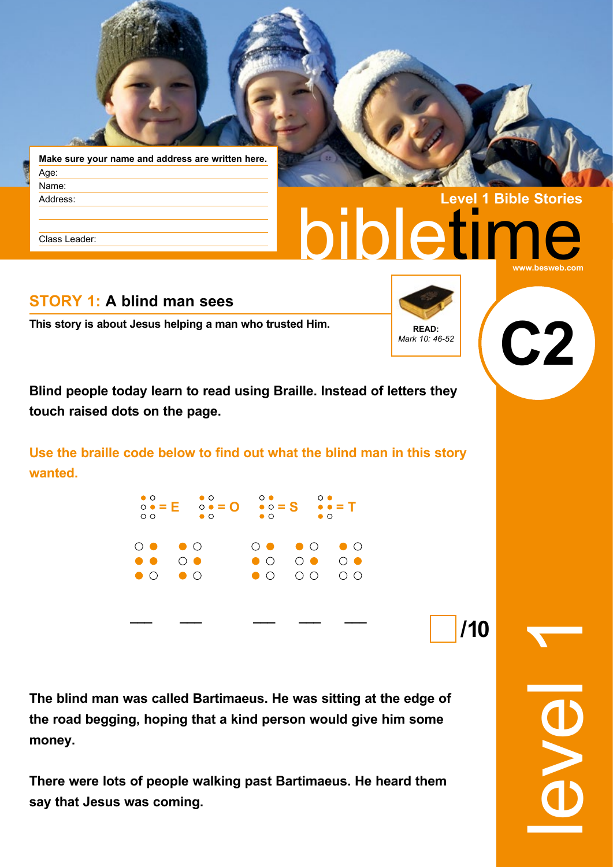

**Make sure your name and address are written here.** Age: Name: Address:

Class Leader:

# **bietim Level 1 Bible Stories www.besweb.com**

## **STORY 1: A blind man sees**

**This story is about Jesus helping a man who trusted Him. READ: READ:** 



**Blind people today learn to read using Braille. Instead of letters they touch raised dots on the page.**

**Use the braille code below to find out what the blind man in this story wanted.**

| $\bullet$ O<br>$\circ$ $\circ$ | $\bullet$ O<br>$\circ \bullet = E$ $\circ \bullet = Q$ $\bullet \circ = S$ $\bullet \bullet = T$<br>$\bullet$ O | $\circ\bullet$<br>$\bullet$ $\circ$    | $\circ \bullet$<br>$\bullet$ $\circ$                 |  |
|--------------------------------|-----------------------------------------------------------------------------------------------------------------|----------------------------------------|------------------------------------------------------|--|
| $\bullet$ $\bullet$            | $\circ\bullet\bullet\circ$<br>$\bigcirc$ $\bullet$<br>$\bullet$ 0 $\bullet$ 0                                   | $\bullet$ $\circ$<br>$\bullet$ $\circ$ | 00 00 00<br>$\circ\bullet\quad\circ\bullet$<br>00000 |  |
|                                |                                                                                                                 |                                        |                                                      |  |

**The blind man was called Bartimaeus. He was sitting at the edge of the road begging, hoping that a kind person would give him some money.**

**There were lots of people walking past Bartimaeus. He heard them say that Jesus was coming.** 

level 1

**/10**

**C2**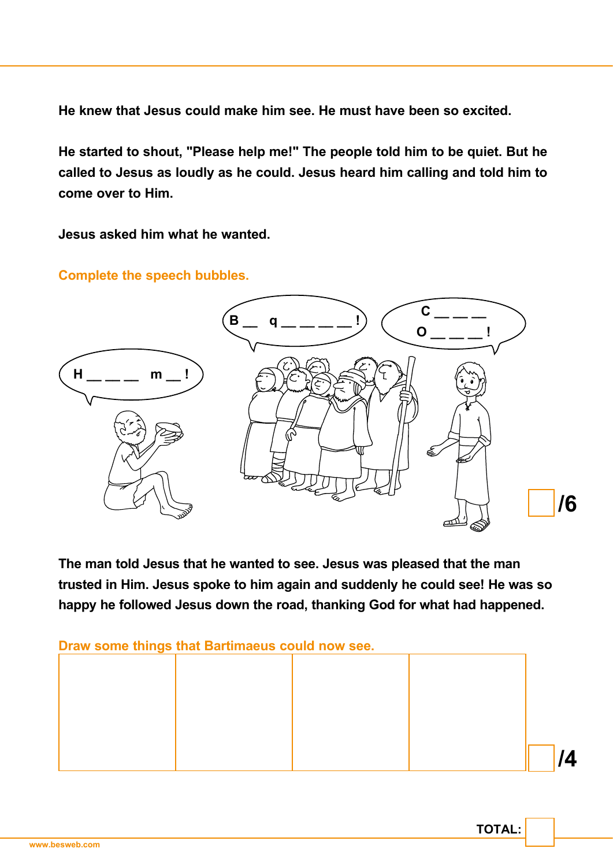**He knew that Jesus could make him see. He must have been so excited.**

**He started to shout, "Please help me!" The people told him to be quiet. But he called to Jesus as loudly as he could. Jesus heard him calling and told him to come over to Him.**

**Jesus asked him what he wanted.**

#### **Complete the speech bubbles.**



**The man told Jesus that he wanted to see. Jesus was pleased that the man trusted in Him. Jesus spoke to him again and suddenly he could see! He was so happy he followed Jesus down the road, thanking God for what had happened.**

**Draw some things that Bartimaeus could now see.**



**TOTAL:**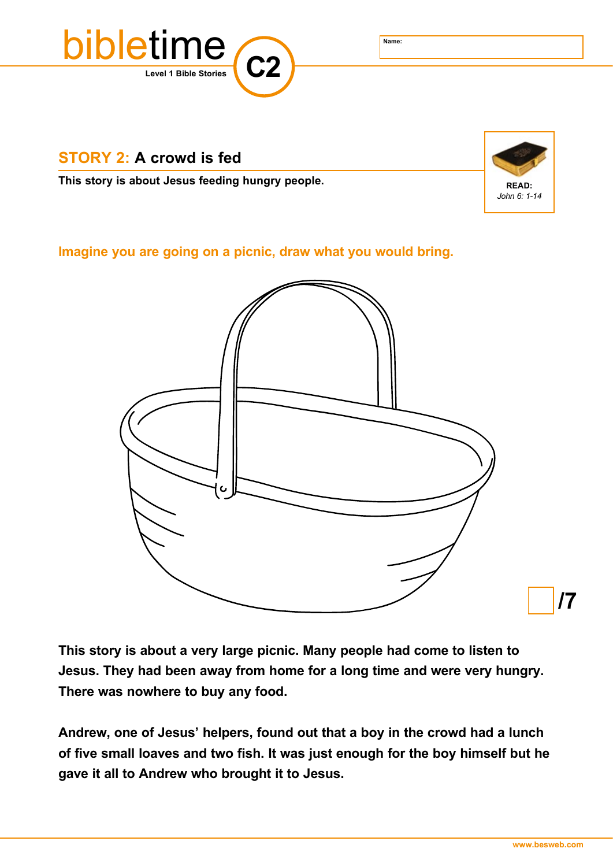

# **STORY 2: A crowd is fed**

**This story is about Jesus feeding hungry people. READ: READ: READ:** 



### **Imagine you are going on a picnic, draw what you would bring.**



**This story is about a very large picnic. Many people had come to listen to Jesus. They had been away from home for a long time and were very hungry. There was nowhere to buy any food.**

**Andrew, one of Jesus' helpers, found out that a boy in the crowd had a lunch of five small loaves and two fish. It was just enough for the boy himself but he gave it all to Andrew who brought it to Jesus.**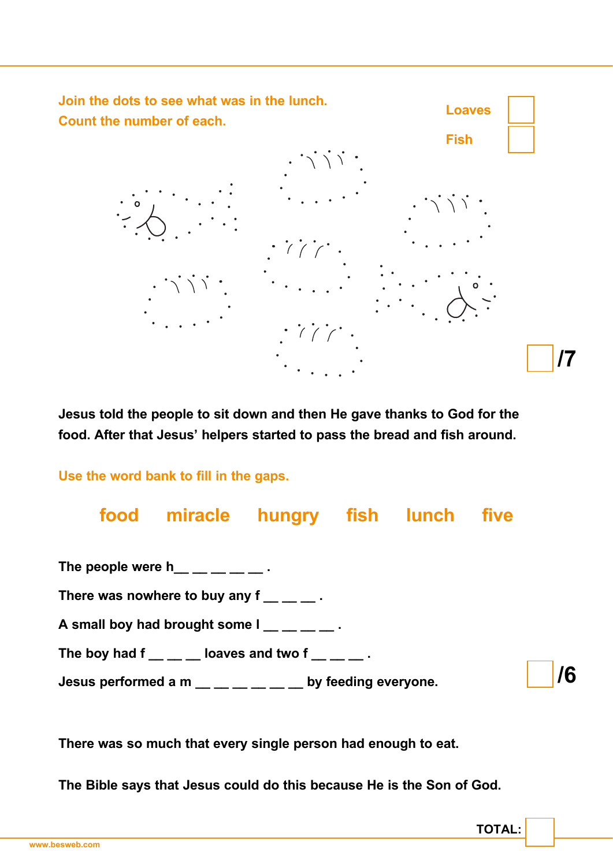

**Jesus told the people to sit down and then He gave thanks to God for the food. After that Jesus' helpers started to pass the bread and fish around.** 

**Use the word bank to fill in the gaps.**

**food miracle hungry fish lunch five**  The people were  $h_$  \_\_ \_ \_ \_ \_ . There was nowhere to buy any f  $\qquad \qquad$ . A small boy had brought some  $I_$  \_\_ \_ \_ \_ . The boy had  $f_$  \_\_ \_ \_ loaves and two  $f_$  \_\_ \_  $\overline{ }$  . **Jesus performed a m \_\_ \_\_ \_\_ \_\_ \_\_ \_\_ by feeding everyone. /6**

**There was so much that every single person had enough to eat.** 

**The Bible says that Jesus could do this because He is the Son of God.**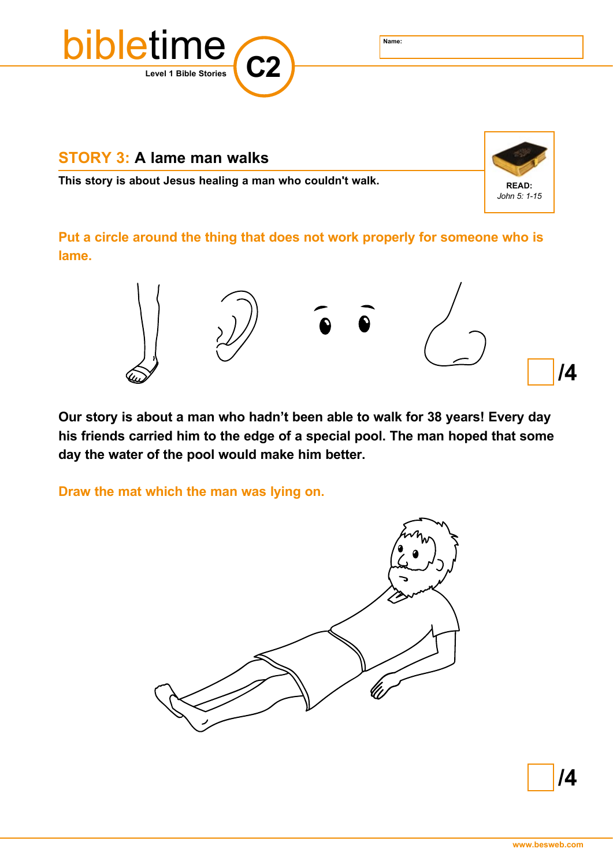**Level 1 Bible Stories C2** bibletime **Name:**

#### **STORY 3: A lame man walks**

**This story is about Jesus healing a man who couldn't walk. <br>READ:** 



**Put a circle around the thing that does not work properly for someone who is lame.**



**Our story is about a man who hadn't been able to walk for 38 years! Every day his friends carried him to the edge of a special pool. The man hoped that some day the water of the pool would make him better.**

**Draw the mat which the man was lying on.**



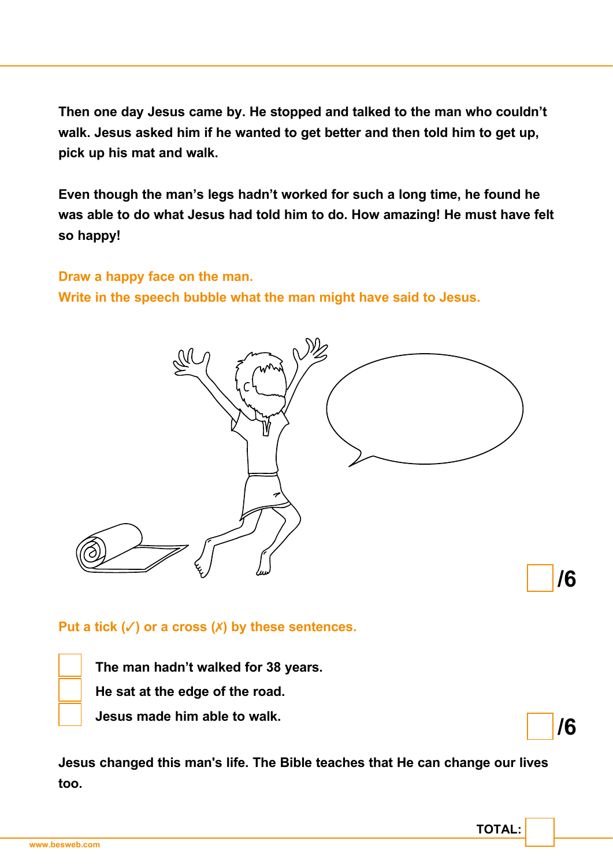**Then one day Jesus came by. He stopped and talked to the man who couldn't walk. Jesus asked him if he wanted to get better and then told him to get up, pick up his mat and walk.**

**Even though the man's legs hadn't worked for such a long time, he found he was able to do what Jesus had told him to do. How amazing! He must have felt so happy!**

#### **Draw a happy face on the man.**

**Write in the speech bubble what the man might have said to Jesus.**



#### **Put a tick (**✓**) or a cross (**✗**) by these sentences.**

**The man hadn't walked for 38 years.**

**He sat at the edge of the road.** 

**Jesus made him able to walk.**

**Jesus changed this man's life. The Bible teaches that He can change our lives too.**

**/6**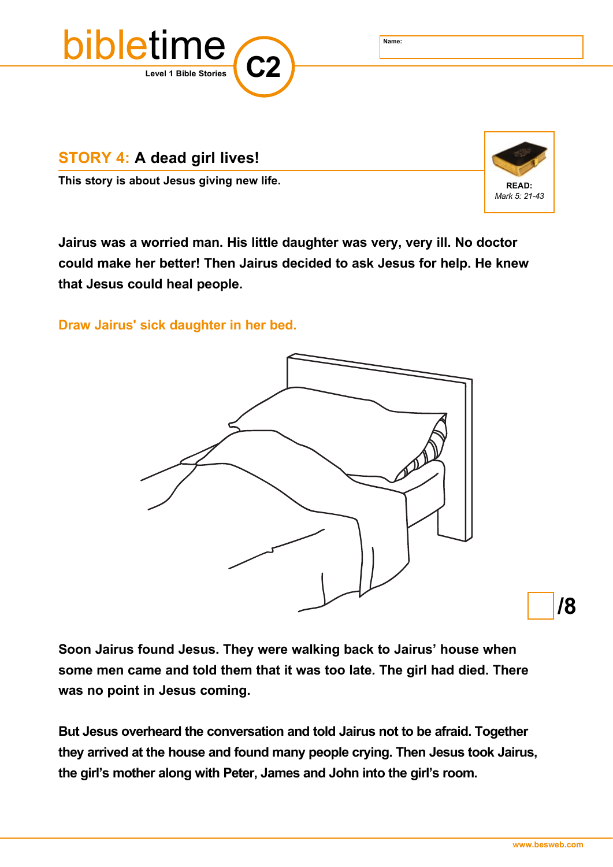

**STORY 4: A dead girl lives!**

**This story is about Jesus giving new life. READ: READ: READ: READ:** 



**Jairus was a worried man. His little daughter was very, very ill. No doctor could make her better! Then Jairus decided to ask Jesus for help. He knew that Jesus could heal people.** 

**Draw Jairus' sick daughter in her bed.**



**/8**

**Soon Jairus found Jesus. They were walking back to Jairus' house when some men came and told them that it was too late. The girl had died. There was no point in Jesus coming.** 

**But Jesus overheard the conversation and told Jairus not to be afraid. Together they arrived at the house and found many people crying. Then Jesus took Jairus, the girl's mother along with Peter, James and John into the girl's room.**